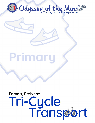

## Primary

# Primary Problem:<br>Tri-Cycle<br>Transport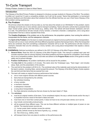### Tri-Cycle Transport

Primary Problem: Grades K-2 *Open to Virtual Teams*

#### **Introduction**

The Odyssey of the Mind Primary Problem is designed to introduce younger students to Odyssey of the Mind. The problem is written as it would be if it were a competitive problem, but it will not be scored. Teams that participate in a tournament will receive feedback and information about their solutions from the officials that they can use in their future Odyssey of the Mind problem solving experiences.

#### **A. The Problem**

We all know where the wheels on the bus take us, but how about the wheels on an OM-Mobile? In this problem, teams will design and build one or more vehicles used to transport something. Teams will build a vehicle that is powered three ways: human power, gravity, and free choice (e.g., battery, wind). The vehicle will travel forward, backward, and turn to a side. The performance will also include a funny narrator, a mechanic character, a salesperson, and a song about transportation that has a stanza repeated three times.

The **Creative Emphases** of the problem are on the performance, the propulsion systems, how running the vehicle is incorporated into the theme, and the salesperson character.

The **Spirit of the Problem** is for the team to create and present an original humorous performance about transportation. The team will run one or more vehicles with three different propulsion systems that transport items. When the transported items are combined, they form something a salesperson character will try to sell. The performance will also include a mechanic character that runs the vehicle(s), a funny narrator, and a song about transportation that repeats a stanza three times.

#### **B. Limitations** *(Italicized words/terms are defined in the 2021-22 Odyssey of the Mind Program Guide)*

- 1. **General Rules:** Read the *2021-22 Odyssey of the Mind Program Guide*. This manual is updated each year and includes important rules for solving Odyssey of the Mind problems and forms required for competition. Even though this is not a competitive problem, teams must refer and adhere to the **Program Rules** section of the guide to ensure safety and to prevent damage.
- 2. **Problem Clarifications:** No problem clarifications will be issued for this problem.
- 3. The **time limit** for this problem is 8 minutes. This starts when the Timekeeper says, "Team begin," and includes setup, Style, and the presentation of the solution.
- 4. The cost limit for this problem is \$125 (U.S.). The combined value of the materials used during the demonstration of the team's solution, including Style, cannot exceed this amount. The Odyssey of the Mind Program Guide explains the cost limit and lists items that are exempt from cost.
- 5. The team will create an original humorous performance that includes:
	- a. one or more original vehicles with different power sources.
	- b. items that are transported by the vehicles.
	- c. the vehicle(s) traveling.
	- d. a funny narrator.
	- e. a mechanic character.
	- f. a salesperson character.
	- g. a song about transportation.
	- h. five Style elements including two that are chosen by the team listed in F Style.
- 6. The **vehicle(s)**:
	- a. must be an original creation of the team. To be considered original, the way a vehicle travels and/or the way it is propelled must be a result of the team's ideas and work.
	- b. must have one or more floor contact points. It does not have to be a tricycle-style vehicle, but it can be.
	- c. may include *commercially produced* parts.
	- d. will be powered three different ways. This can be three different vehicles or multiple types of power on one vehicle. The required power sources are:
		- (1) human power (team member moves the vehicle)
		- (2) gravity (vehicle moves by the force of gravity, e.g., a ramp)
		- (3) free choice (e.g., battery, wind)
	- e. will transport items from one place to another on the performance site.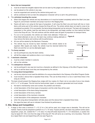#### 7. **Items that are transported**:

- a. must be at least two tangible objects that can be seen by the judges and audience on each required run.
- b. can be placed on the vehicle in any way.
- c. must be supported and carried by the vehicle during each run.
- d. will be combined to form an item the salesperson character will try to sell in the performance.

#### 8. The **vehicle(s) traveling the course**:

- a. When time begins the vehicle and any decorations on it must be located completely behind the Start Line (see Figure A); and all team members and props must be in the Staging Area.
- b. Teams will start a run using its first type of propulsion. It will cross the Start Line and travel with two or more items until some part of the vehicle crosses the Drop-off Line. The whole vehicle does not need to cross to be considered successful. If it is successful, the items being transported can be removed. The team will change the propulsion/ or the vehicle, load the next items to be transported, and begin another run from behind the Start Line to the Drop-off Line. This will continue until the vehicle uses all types of propulsion to transport items.
- c. If a run is not successful, the vehicle can make more attempts. If there are three failed attempts on any run, the team may continue making attempts or may remove the items and continue with its performance. **Figure A**
- d. All runs will be started by the Mechanic Character.



#### 9. The **funny narrator**:

- a. can be portrayed any way the team wishes.
- b. will tell the judges and audience when a run is being made.

#### 10. A **mechanic character**:

- a. must be a team member in costume.
- b. will run the vehicles.

#### 11. The **salesperson character**:

- a. can be portrayed in any way but must be a character as defined in the *Odyssey of the Mind Program Guide.*
- b. will try to sell the items once they are transported by the vehicle.

#### 12. The **song about transportation**:

- a. can be any style but must meet the definition of a *song* as described in the Odyssey of the Mind Program Guide.
- b. must include a *stanza* that is repeated three times. This can be three times in a row or said three times in the song as a whole.
- 13. The team should present the Staging Area Judge with four copies of a Team List on one side of one or two sheets of 8 ½" x 11" or A4 paper. This list must be hand-printed, typed, or computer generated and must include:
	- a. the team's membership name and number, the problem and division.
	- b. a brief description of the three types of propulsion and the order they will be used.
	- c. a brief description of the items being transported.
	- d. a brief description of the funny narrator.
	- e. a brief description of the mechanic character.
	- f. a brief description of the salesperson character.
	- g. when the song about transportation will take place and the stanza that is repeated three times.
	- h. the signal the team will use to indicate it has finished its performance.

#### **C. Site, Setup and Competition**

1. A stage or floor area a minimum 7' x 10' (2.1m x 3m) will be used, but a larger area is desirable. This will not be marked. Teams must be prepared to perform in a 7' x 10' area. If space permits, the team may perform and/or place equipment, props, etc. outside the 7' x 10' area. If a drop-off exists beyond the 7' x 10' dimensions, a caution line may be taped 30" (76.2 cm) from the edge of the drop-off. This will serve as a warning, not a boundary. There will be a taped Start Line and taped Drop-off Line (see Figure A).

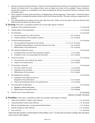- 2. All props must be provided by the team. If teams are to demonstrate their solutions at a tournament, the Tournament Director will advise them if any standard items, such as tables and chairs, will be available. (Teams wishing to present their solutions at a competition must make arrangements with the Tournament Director in advance of the competition date.)
- 3. Team members and their props will remain in a Staging Area until the judge says, "Team begin." It will be the team's responsibility to complete the problem solution within the 8-minute time limit. The team must give a signal when it is finished.
- 4. Prop disassembling and cleanup can be done after time ends. Others not on the team's roster can help the team clear the site and remove the team's props.

**D. Scoring** *If this were a competitive problem the scoring might appear as follows:*

| 1.  |                                                                                                                         |                              |
|-----|-------------------------------------------------------------------------------------------------------------------------|------------------------------|
| 2.  |                                                                                                                         |                              |
| 3.  |                                                                                                                         |                              |
|     | a.<br>b.                                                                                                                |                              |
| 4.  |                                                                                                                         |                              |
|     | a.                                                                                                                      |                              |
|     | b.                                                                                                                      |                              |
|     | C.                                                                                                                      |                              |
| 5.  |                                                                                                                         |                              |
|     | a.                                                                                                                      |                              |
|     | b.                                                                                                                      |                              |
| 6.  |                                                                                                                         |                              |
|     | a.                                                                                                                      |                              |
|     | b.                                                                                                                      |                              |
| 7.  |                                                                                                                         |                              |
|     | a.                                                                                                                      |                              |
|     | b.                                                                                                                      |                              |
|     | C.                                                                                                                      |                              |
| 8.  |                                                                                                                         |                              |
|     | Creativity of how selling the items is<br>a.                                                                            |                              |
|     |                                                                                                                         |                              |
|     |                                                                                                                         |                              |
| 9.  |                                                                                                                         |                              |
|     | а.                                                                                                                      |                              |
|     |                                                                                                                         |                              |
| 10. |                                                                                                                         |                              |
|     |                                                                                                                         | Maximum Possible: 200 points |
|     | E. Penalties- If this were a competitive problem the penalties might appear as follows:                                 |                              |
| 1.  |                                                                                                                         |                              |
| 2.  |                                                                                                                         |                              |
| 3.  |                                                                                                                         |                              |
| 4.  |                                                                                                                         |                              |
| 5.  |                                                                                                                         |                              |
|     | Teams that don't present a scored element of the problem (see D. Scoring) will not receive a penalty, they will receive |                              |

*a zero score for that category.*